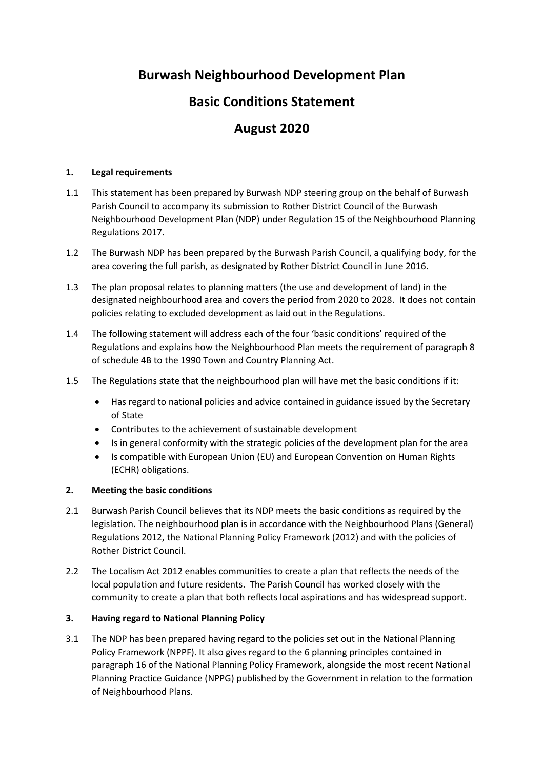**Burwash Neighbourhood Development Plan**

# **Basic Conditions Statement**

# **August 2020**

### **1. Legal requirements**

- 1.1 This statement has been prepared by Burwash NDP steering group on the behalf of Burwash Parish Council to accompany its submission to Rother District Council of the Burwash Neighbourhood Development Plan (NDP) under Regulation 15 of the Neighbourhood Planning Regulations 2017.
- 1.2 The Burwash NDP has been prepared by the Burwash Parish Council, a qualifying body, for the area covering the full parish, as designated by Rother District Council in June 2016.
- 1.3 The plan proposal relates to planning matters (the use and development of land) in the designated neighbourhood area and covers the period from 2020 to 2028. It does not contain policies relating to excluded development as laid out in the Regulations.
- 1.4 The following statement will address each of the four 'basic conditions' required of the Regulations and explains how the Neighbourhood Plan meets the requirement of paragraph 8 of schedule 4B to the 1990 Town and Country Planning Act.
- 1.5 The Regulations state that the neighbourhood plan will have met the basic conditions if it:
	- Has regard to national policies and advice contained in guidance issued by the Secretary of State
	- Contributes to the achievement of sustainable development
	- Is in general conformity with the strategic policies of the development plan for the area
	- Is compatible with European Union (EU) and European Convention on Human Rights (ECHR) obligations.

### **2. Meeting the basic conditions**

- 2.1 Burwash Parish Council believes that its NDP meets the basic conditions as required by the legislation. The neighbourhood plan is in accordance with the Neighbourhood Plans (General) Regulations 2012, the National Planning Policy Framework (2012) and with the policies of Rother District Council.
- 2.2 The Localism Act 2012 enables communities to create a plan that reflects the needs of the local population and future residents. The Parish Council has worked closely with the community to create a plan that both reflects local aspirations and has widespread support.

### **3. Having regard to National Planning Policy**

3.1 The NDP has been prepared having regard to the policies set out in the National Planning Policy Framework (NPPF). It also gives regard to the 6 planning principles contained in paragraph 16 of the National Planning Policy Framework, alongside the most recent National Planning Practice Guidance (NPPG) published by the Government in relation to the formation of Neighbourhood Plans.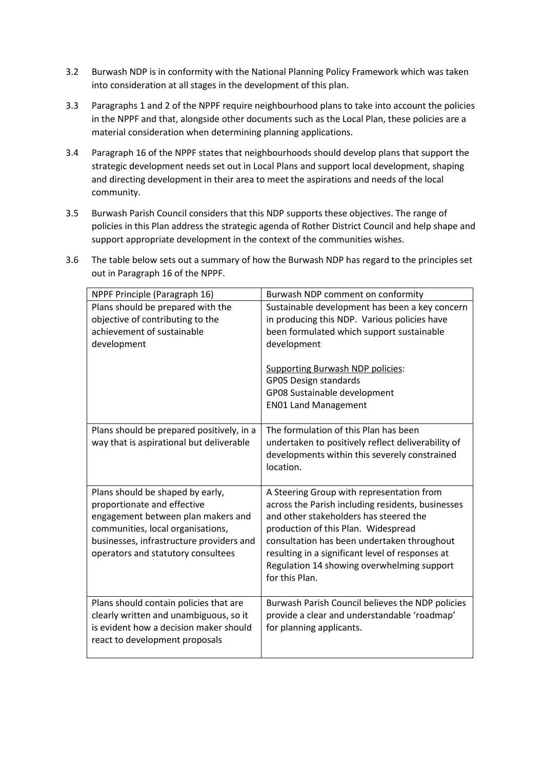- 3.2 Burwash NDP is in conformity with the National Planning Policy Framework which was taken into consideration at all stages in the development of this plan.
- 3.3 Paragraphs 1 and 2 of the NPPF require neighbourhood plans to take into account the policies in the NPPF and that, alongside other documents such as the Local Plan, these policies are a material consideration when determining planning applications.
- 3.4 Paragraph 16 of the NPPF states that neighbourhoods should develop plans that support the strategic development needs set out in Local Plans and support local development, shaping and directing development in their area to meet the aspirations and needs of the local community.
- 3.5 Burwash Parish Council considers that this NDP supports these objectives. The range of policies in this Plan address the strategic agenda of Rother District Council and help shape and support appropriate development in the context of the communities wishes.
- 3.6 The table below sets out a summary of how the Burwash NDP has regard to the principles set out in Paragraph 16 of the NPPF.

| NPPF Principle (Paragraph 16)             | Burwash NDP comment on conformity                  |
|-------------------------------------------|----------------------------------------------------|
| Plans should be prepared with the         | Sustainable development has been a key concern     |
| objective of contributing to the          | in producing this NDP. Various policies have       |
| achievement of sustainable                | been formulated which support sustainable          |
| development                               | development                                        |
|                                           |                                                    |
|                                           | <b>Supporting Burwash NDP policies:</b>            |
|                                           | GP05 Design standards                              |
|                                           | GP08 Sustainable development                       |
|                                           | <b>EN01 Land Management</b>                        |
|                                           |                                                    |
| Plans should be prepared positively, in a | The formulation of this Plan has been              |
| way that is aspirational but deliverable  | undertaken to positively reflect deliverability of |
|                                           | developments within this severely constrained      |
|                                           | location.                                          |
| Plans should be shaped by early,          | A Steering Group with representation from          |
| proportionate and effective               | across the Parish including residents, businesses  |
| engagement between plan makers and        | and other stakeholders has steered the             |
| communities, local organisations,         | production of this Plan. Widespread                |
| businesses, infrastructure providers and  | consultation has been undertaken throughout        |
| operators and statutory consultees        | resulting in a significant level of responses at   |
|                                           | Regulation 14 showing overwhelming support         |
|                                           | for this Plan.                                     |
|                                           |                                                    |
| Plans should contain policies that are    | Burwash Parish Council believes the NDP policies   |
| clearly written and unambiguous, so it    | provide a clear and understandable 'roadmap'       |
| is evident how a decision maker should    | for planning applicants.                           |
| react to development proposals            |                                                    |
|                                           |                                                    |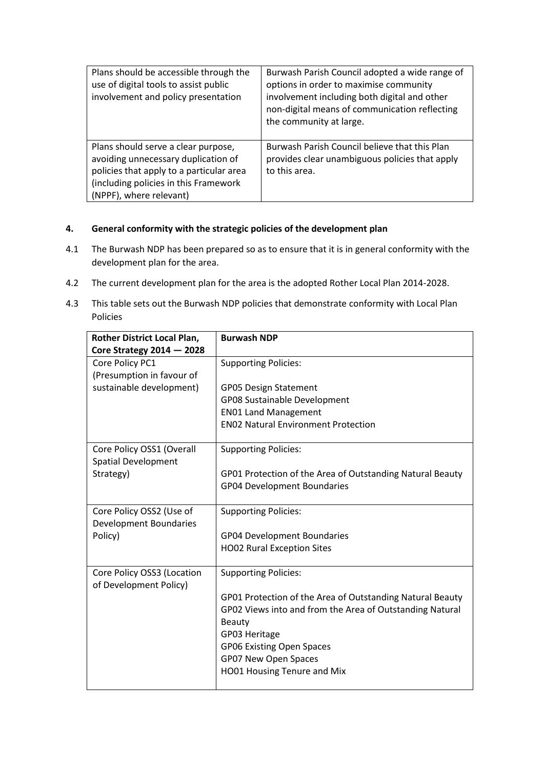| Plans should be accessible through the<br>use of digital tools to assist public<br>involvement and policy presentation                                                                     | Burwash Parish Council adopted a wide range of<br>options in order to maximise community<br>involvement including both digital and other<br>non-digital means of communication reflecting<br>the community at large. |
|--------------------------------------------------------------------------------------------------------------------------------------------------------------------------------------------|----------------------------------------------------------------------------------------------------------------------------------------------------------------------------------------------------------------------|
| Plans should serve a clear purpose,<br>avoiding unnecessary duplication of<br>policies that apply to a particular area<br>(including policies in this Framework<br>(NPPF), where relevant) | Burwash Parish Council believe that this Plan<br>provides clear unambiguous policies that apply<br>to this area.                                                                                                     |

### **4. General conformity with the strategic policies of the development plan**

- 4.1 The Burwash NDP has been prepared so as to ensure that it is in general conformity with the development plan for the area.
- 4.2 The current development plan for the area is the adopted Rother Local Plan 2014-2028.
- 4.3 This table sets out the Burwash NDP policies that demonstrate conformity with Local Plan Policies

| Rother District Local Plan,<br>Core Strategy $2014 - 2028$ | <b>Burwash NDP</b>                                                                                                    |
|------------------------------------------------------------|-----------------------------------------------------------------------------------------------------------------------|
| Core Policy PC1<br>(Presumption in favour of               | <b>Supporting Policies:</b>                                                                                           |
| sustainable development)                                   | <b>GP05 Design Statement</b>                                                                                          |
|                                                            | GP08 Sustainable Development                                                                                          |
|                                                            | <b>EN01 Land Management</b>                                                                                           |
|                                                            | <b>EN02 Natural Environment Protection</b>                                                                            |
| Core Policy OSS1 (Overall<br><b>Spatial Development</b>    | <b>Supporting Policies:</b>                                                                                           |
| Strategy)                                                  | GP01 Protection of the Area of Outstanding Natural Beauty                                                             |
|                                                            | <b>GP04 Development Boundaries</b>                                                                                    |
| Core Policy OSS2 (Use of<br><b>Development Boundaries</b>  | <b>Supporting Policies:</b>                                                                                           |
| Policy)                                                    | <b>GP04 Development Boundaries</b>                                                                                    |
|                                                            | <b>HO02 Rural Exception Sites</b>                                                                                     |
| Core Policy OSS3 (Location<br>of Development Policy)       | <b>Supporting Policies:</b>                                                                                           |
|                                                            | GP01 Protection of the Area of Outstanding Natural Beauty<br>GP02 Views into and from the Area of Outstanding Natural |
|                                                            | <b>Beauty</b>                                                                                                         |
|                                                            | GP03 Heritage                                                                                                         |
|                                                            | <b>GP06 Existing Open Spaces</b>                                                                                      |
|                                                            | GP07 New Open Spaces                                                                                                  |
|                                                            | HO01 Housing Tenure and Mix                                                                                           |
|                                                            |                                                                                                                       |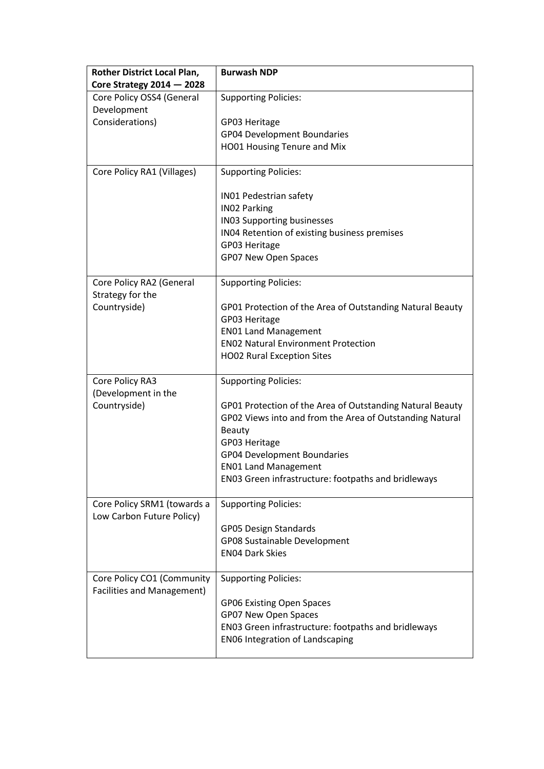| Rother District Local Plan,       | <b>Burwash NDP</b>                                                        |
|-----------------------------------|---------------------------------------------------------------------------|
| Core Strategy $2014 - 2028$       |                                                                           |
| Core Policy OSS4 (General         | <b>Supporting Policies:</b>                                               |
| Development                       |                                                                           |
| Considerations)                   | GP03 Heritage                                                             |
|                                   | <b>GP04 Development Boundaries</b>                                        |
|                                   | HO01 Housing Tenure and Mix                                               |
| Core Policy RA1 (Villages)        | <b>Supporting Policies:</b>                                               |
|                                   | <b>INO1 Pedestrian safety</b>                                             |
|                                   | <b>INO2 Parking</b>                                                       |
|                                   | <b>IN03 Supporting businesses</b>                                         |
|                                   | IN04 Retention of existing business premises                              |
|                                   | GP03 Heritage                                                             |
|                                   | GP07 New Open Spaces                                                      |
|                                   |                                                                           |
| Core Policy RA2 (General          | <b>Supporting Policies:</b>                                               |
| Strategy for the<br>Countryside)  |                                                                           |
|                                   | GP01 Protection of the Area of Outstanding Natural Beauty                 |
|                                   | GP03 Heritage                                                             |
|                                   | <b>EN01 Land Management</b><br><b>EN02 Natural Environment Protection</b> |
|                                   |                                                                           |
|                                   | <b>HO02 Rural Exception Sites</b>                                         |
| Core Policy RA3                   | <b>Supporting Policies:</b>                                               |
| (Development in the               |                                                                           |
| Countryside)                      | GP01 Protection of the Area of Outstanding Natural Beauty                 |
|                                   | GP02 Views into and from the Area of Outstanding Natural                  |
|                                   | <b>Beauty</b>                                                             |
|                                   | GP03 Heritage                                                             |
|                                   | <b>GP04 Development Boundaries</b>                                        |
|                                   | <b>EN01 Land Management</b>                                               |
|                                   | EN03 Green infrastructure: footpaths and bridleways                       |
|                                   |                                                                           |
| Core Policy SRM1 (towards a       | <b>Supporting Policies:</b>                                               |
| Low Carbon Future Policy)         |                                                                           |
|                                   | <b>GP05 Design Standards</b>                                              |
|                                   | GP08 Sustainable Development                                              |
|                                   | <b>EN04 Dark Skies</b>                                                    |
| Core Policy CO1 (Community        | <b>Supporting Policies:</b>                                               |
| <b>Facilities and Management)</b> |                                                                           |
|                                   | <b>GP06 Existing Open Spaces</b>                                          |
|                                   | GP07 New Open Spaces                                                      |
|                                   | EN03 Green infrastructure: footpaths and bridleways                       |
|                                   | <b>EN06 Integration of Landscaping</b>                                    |
|                                   |                                                                           |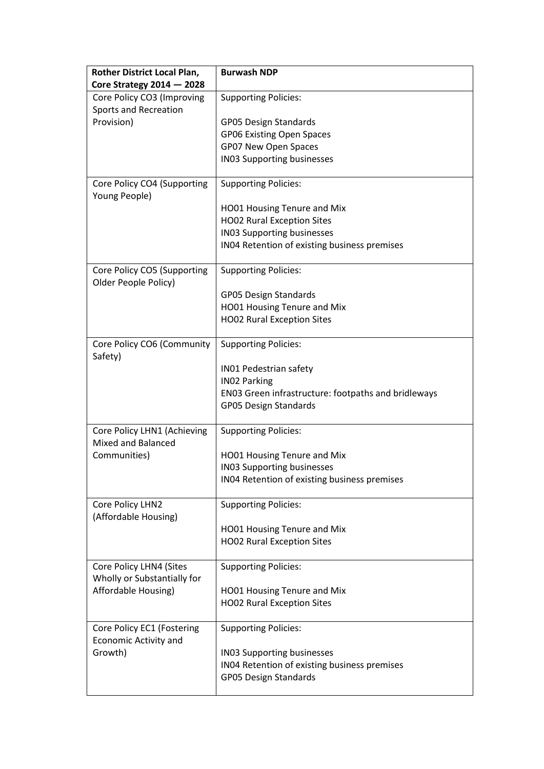| Rother District Local Plan,                         | <b>Burwash NDP</b>                                  |
|-----------------------------------------------------|-----------------------------------------------------|
| Core Strategy $2014 - 2028$                         |                                                     |
| Core Policy CO3 (Improving                          | <b>Supporting Policies:</b>                         |
| Sports and Recreation                               |                                                     |
| Provision)                                          | <b>GP05 Design Standards</b>                        |
|                                                     | <b>GP06 Existing Open Spaces</b>                    |
|                                                     | GP07 New Open Spaces                                |
|                                                     | <b>IN03 Supporting businesses</b>                   |
| Core Policy CO4 (Supporting<br>Young People)        | <b>Supporting Policies:</b>                         |
|                                                     | HO01 Housing Tenure and Mix                         |
|                                                     | <b>HO02 Rural Exception Sites</b>                   |
|                                                     | <b>IN03 Supporting businesses</b>                   |
|                                                     | IN04 Retention of existing business premises        |
| Core Policy CO5 (Supporting<br>Older People Policy) | <b>Supporting Policies:</b>                         |
|                                                     | <b>GP05 Design Standards</b>                        |
|                                                     | HO01 Housing Tenure and Mix                         |
|                                                     | <b>HO02 Rural Exception Sites</b>                   |
| Core Policy CO6 (Community<br>Safety)               | <b>Supporting Policies:</b>                         |
|                                                     | <b>IN01 Pedestrian safety</b>                       |
|                                                     | <b>INO2 Parking</b>                                 |
|                                                     | EN03 Green infrastructure: footpaths and bridleways |
|                                                     | <b>GP05 Design Standards</b>                        |
| Core Policy LHN1 (Achieving                         | <b>Supporting Policies:</b>                         |
| <b>Mixed and Balanced</b>                           |                                                     |
| Communities)                                        | HO01 Housing Tenure and Mix                         |
|                                                     | <b>IN03 Supporting businesses</b>                   |
|                                                     | IN04 Retention of existing business premises        |
| Core Policy LHN2                                    | <b>Supporting Policies:</b>                         |
| (Affordable Housing)                                | HO01 Housing Tenure and Mix                         |
|                                                     | <b>HO02 Rural Exception Sites</b>                   |
|                                                     |                                                     |
| Core Policy LHN4 (Sites                             | <b>Supporting Policies:</b>                         |
| Wholly or Substantially for                         |                                                     |
| Affordable Housing)                                 | HO01 Housing Tenure and Mix                         |
|                                                     | <b>HO02 Rural Exception Sites</b>                   |
| Core Policy EC1 (Fostering                          | <b>Supporting Policies:</b>                         |
| Economic Activity and<br>Growth)                    | <b>IN03 Supporting businesses</b>                   |
|                                                     | IN04 Retention of existing business premises        |
|                                                     | <b>GP05 Design Standards</b>                        |
|                                                     |                                                     |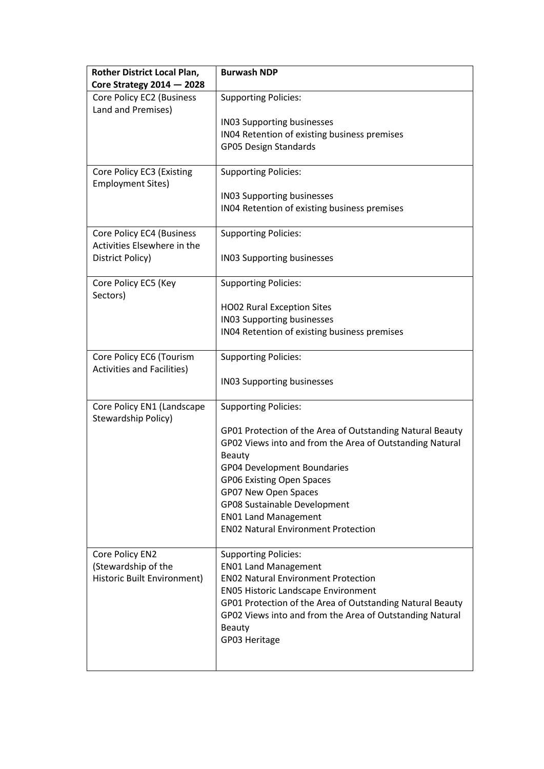| <b>Rother District Local Plan,</b>                       | <b>Burwash NDP</b>                                                                                      |
|----------------------------------------------------------|---------------------------------------------------------------------------------------------------------|
| Core Strategy $2014 - 2028$                              |                                                                                                         |
| Core Policy EC2 (Business                                | <b>Supporting Policies:</b>                                                                             |
| Land and Premises)                                       |                                                                                                         |
|                                                          | <b>IN03 Supporting businesses</b>                                                                       |
|                                                          | IN04 Retention of existing business premises                                                            |
|                                                          | <b>GP05 Design Standards</b>                                                                            |
| Core Policy EC3 (Existing<br><b>Employment Sites)</b>    | <b>Supporting Policies:</b>                                                                             |
|                                                          | <b>IN03 Supporting businesses</b>                                                                       |
|                                                          | IN04 Retention of existing business premises                                                            |
| Core Policy EC4 (Business<br>Activities Elsewhere in the | <b>Supporting Policies:</b>                                                                             |
| District Policy)                                         | <b>IN03 Supporting businesses</b>                                                                       |
|                                                          |                                                                                                         |
| Core Policy EC5 (Key<br>Sectors)                         | <b>Supporting Policies:</b>                                                                             |
|                                                          | <b>HO02 Rural Exception Sites</b>                                                                       |
|                                                          | <b>IN03 Supporting businesses</b>                                                                       |
|                                                          | IN04 Retention of existing business premises                                                            |
| Core Policy EC6 (Tourism                                 | <b>Supporting Policies:</b>                                                                             |
| <b>Activities and Facilities)</b>                        | <b>IN03 Supporting businesses</b>                                                                       |
| Core Policy EN1 (Landscape<br>Stewardship Policy)        | <b>Supporting Policies:</b>                                                                             |
|                                                          | GP01 Protection of the Area of Outstanding Natural Beauty                                               |
|                                                          | GP02 Views into and from the Area of Outstanding Natural                                                |
|                                                          | <b>Beauty</b>                                                                                           |
|                                                          | <b>GP04 Development Boundaries</b>                                                                      |
|                                                          | <b>GP06 Existing Open Spaces</b>                                                                        |
|                                                          | GP07 New Open Spaces                                                                                    |
|                                                          | GP08 Sustainable Development                                                                            |
|                                                          | <b>EN01 Land Management</b>                                                                             |
|                                                          | <b>EN02 Natural Environment Protection</b>                                                              |
| Core Policy EN2                                          | <b>Supporting Policies:</b>                                                                             |
| (Stewardship of the                                      | <b>EN01 Land Management</b>                                                                             |
| Historic Built Environment)                              | <b>ENO2 Natural Environment Protection</b>                                                              |
|                                                          | <b>EN05 Historic Landscape Environment</b><br>GP01 Protection of the Area of Outstanding Natural Beauty |
|                                                          | GP02 Views into and from the Area of Outstanding Natural                                                |
|                                                          | <b>Beauty</b>                                                                                           |
|                                                          | GP03 Heritage                                                                                           |
|                                                          |                                                                                                         |
|                                                          |                                                                                                         |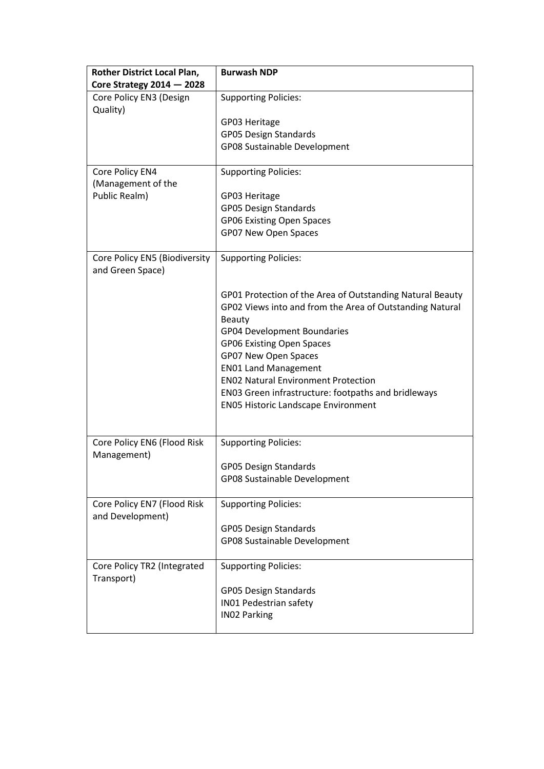| Rother District Local Plan,                       | <b>Burwash NDP</b>                                        |
|---------------------------------------------------|-----------------------------------------------------------|
| Core Strategy $2014 - 2028$                       |                                                           |
| Core Policy EN3 (Design                           | <b>Supporting Policies:</b>                               |
| Quality)                                          |                                                           |
|                                                   | GP03 Heritage                                             |
|                                                   | <b>GP05 Design Standards</b>                              |
|                                                   | GP08 Sustainable Development                              |
| Core Policy EN4                                   | <b>Supporting Policies:</b>                               |
| (Management of the                                |                                                           |
| Public Realm)                                     | GP03 Heritage                                             |
|                                                   | <b>GP05 Design Standards</b>                              |
|                                                   | <b>GP06 Existing Open Spaces</b>                          |
|                                                   | GP07 New Open Spaces                                      |
| Core Policy EN5 (Biodiversity<br>and Green Space) | <b>Supporting Policies:</b>                               |
|                                                   | GP01 Protection of the Area of Outstanding Natural Beauty |
|                                                   | GP02 Views into and from the Area of Outstanding Natural  |
|                                                   | Beauty                                                    |
|                                                   | <b>GP04 Development Boundaries</b>                        |
|                                                   | <b>GP06 Existing Open Spaces</b>                          |
|                                                   | GP07 New Open Spaces                                      |
|                                                   | <b>EN01 Land Management</b>                               |
|                                                   | <b>EN02 Natural Environment Protection</b>                |
|                                                   | EN03 Green infrastructure: footpaths and bridleways       |
|                                                   | <b>EN05 Historic Landscape Environment</b>                |
|                                                   |                                                           |
| Core Policy EN6 (Flood Risk                       | <b>Supporting Policies:</b>                               |
| Management)                                       |                                                           |
|                                                   | <b>GP05 Design Standards</b>                              |
|                                                   | GP08 Sustainable Development                              |
| Core Policy EN7 (Flood Risk                       | <b>Supporting Policies:</b>                               |
| and Development)                                  |                                                           |
|                                                   | <b>GP05 Design Standards</b>                              |
|                                                   | <b>GP08 Sustainable Development</b>                       |
| Core Policy TR2 (Integrated<br>Transport)         | <b>Supporting Policies:</b>                               |
|                                                   |                                                           |
|                                                   | <b>GP05 Design Standards</b>                              |
|                                                   | IN01 Pedestrian safety                                    |
|                                                   | <b>INO2 Parking</b>                                       |
|                                                   |                                                           |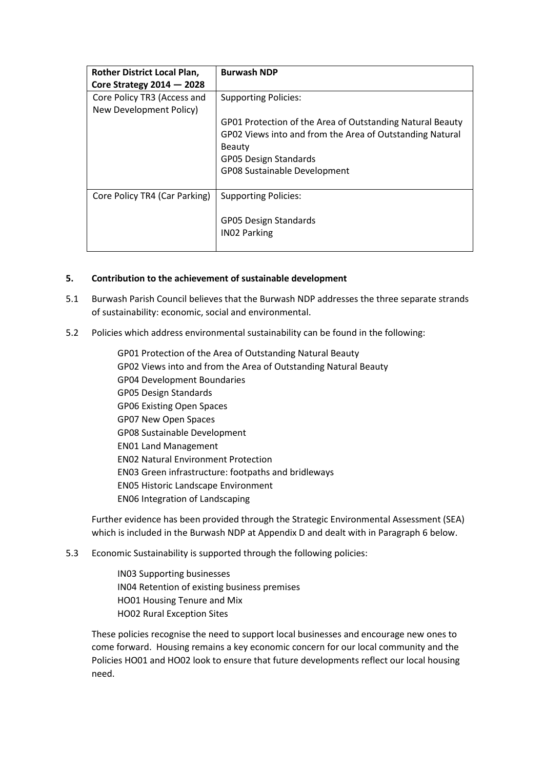| <b>Rother District Local Plan,</b> | <b>Burwash NDP</b>                                        |
|------------------------------------|-----------------------------------------------------------|
| Core Strategy $2014 - 2028$        |                                                           |
| Core Policy TR3 (Access and        | <b>Supporting Policies:</b>                               |
| New Development Policy)            |                                                           |
|                                    | GP01 Protection of the Area of Outstanding Natural Beauty |
|                                    | GP02 Views into and from the Area of Outstanding Natural  |
|                                    | Beauty                                                    |
|                                    | <b>GP05 Design Standards</b>                              |
|                                    | GP08 Sustainable Development                              |
|                                    |                                                           |
| Core Policy TR4 (Car Parking)      | <b>Supporting Policies:</b>                               |
|                                    |                                                           |
|                                    | GP05 Design Standards                                     |
|                                    | <b>INO2 Parking</b>                                       |
|                                    |                                                           |

### **5. Contribution to the achievement of sustainable development**

- 5.1 Burwash Parish Council believes that the Burwash NDP addresses the three separate strands of sustainability: economic, social and environmental.
- 5.2 Policies which address environmental sustainability can be found in the following:
	- GP01 Protection of the Area of Outstanding Natural Beauty GP02 Views into and from the Area of Outstanding Natural Beauty GP04 Development Boundaries GP05 Design Standards GP06 Existing Open Spaces GP07 New Open Spaces GP08 Sustainable Development EN01 Land Management EN02 Natural Environment Protection EN03 Green infrastructure: footpaths and bridleways EN05 Historic Landscape Environment EN06 Integration of Landscaping

Further evidence has been provided through the Strategic Environmental Assessment (SEA) which is included in the Burwash NDP at Appendix D and dealt with in Paragraph 6 below.

5.3 Economic Sustainability is supported through the following policies:

IN03 Supporting businesses IN04 Retention of existing business premises HO01 Housing Tenure and Mix HO02 Rural Exception Sites

These policies recognise the need to support local businesses and encourage new ones to come forward. Housing remains a key economic concern for our local community and the Policies HO01 and HO02 look to ensure that future developments reflect our local housing need.